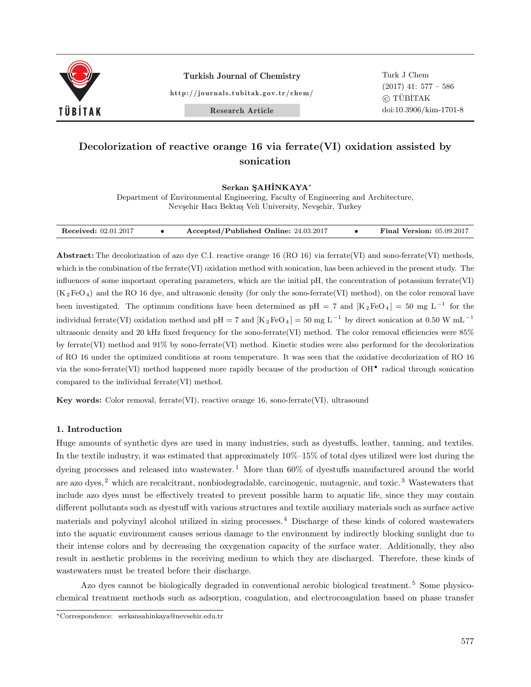

Turkish Journal of Chemistry

http://journals.tubitak.gov.tr/chem/

Turk J Chem (2017) 41: 577 – 586 *⃝*<sup>c</sup> TUB¨ ˙ITAK doi:10.3906/kim-1701-8

Research Article

# **Decolorization of reactive orange 16 via ferrate(VI) oxidation assisted by sonication**

## Serkan SAHİNKAYA<sup>*∗*</sup>

Department of Environmental Engineering, Faculty of Engineering and Architecture, Nevşehir Hacı Bektaş Veli University, Nevşehir, Turkey

| Accepted/Published Online: 24.03.2017<br><b>Received:</b> 02.01.2017 | <b>Final Version: 05.09.2017</b> |
|----------------------------------------------------------------------|----------------------------------|
|----------------------------------------------------------------------|----------------------------------|

**Abstract:** The decolorization of azo dye C.I. reactive orange 16 (RO 16) via ferrate(VI) and sono-ferrate(VI) methods, which is the combination of the ferrate(VI) oxidation method with sonication, has been achieved in the present study. The influences of some important operating parameters, which are the initial pH, the concentration of potassium ferrate(VI)  $(K_2FeO_4)$  and the RO 16 dye, and ultrasonic density (for only the sono-ferrate(VI) method), on the color removal have been investigated. The optimum conditions have been determined as pH = 7 and  $[K_2FeO_4] = 50$  mg L<sup>-1</sup> for the individual ferrate(VI) oxidation method and pH = 7 and  $[K_2FeO_4] = 50$  mg L<sup>-1</sup> by direct sonication at 0.50 W mL<sup>-1</sup> ultrasonic density and 20 kHz fixed frequency for the sono-ferrate(VI) method. The color removal efficiencies were 85% by ferrate(VI) method and 91% by sono-ferrate(VI) method. Kinetic studies were also performed for the decolorization of RO 16 under the optimized conditions at room temperature. It was seen that the oxidative decolorization of RO 16 via the sono-ferrate(VI) method happened more rapidly because of the production of OH*•* radical through sonication compared to the individual ferrate(VI) method.

**Key words:** Color removal, ferrate(VI), reactive orange 16, sono-ferrate(VI), ultrasound

# **1. Introduction**

Huge amounts of synthetic dyes are used in many industries, such as dyestuffs, leather, tanning, and textiles. In the textile industry, it was estimated that approximately 10%–15% of total dyes utilized were lost during the dyeing processes and released into wastewater.<sup>1</sup> More than 60% of dyestuffs manufactured around the world are azo dyes,<sup>2</sup> which are recalcitrant, nonbiodegradable, carcinogenic, mutagenic, and toxic.<sup>3</sup> Wastewaters that include azo dyes must be effectively treated to prevent possible harm to aquatic life, since they may contain different pollutants such as dyestuff with various structures and textile auxiliary materials such as surface active materials and polyvinyl alcohol utilized in sizing processes. <sup>4</sup> Discharge of these kinds of colored wastewaters into the aquatic environment causes serious damage to the environment by indirectly blocking sunlight due to their intense colors and by decreasing the oxygenation capacity of the surface water. Additionally, they also result in aesthetic problems in the receiving medium to which they are discharged. Therefore, these kinds of wastewaters must be treated before their discharge.

Azo dyes cannot be biologically degraded in conventional aerobic biological treatment.<sup>5</sup> Some physicochemical treatment methods such as adsorption, coagulation, and electrocoagulation based on phase transfer

*<sup>∗</sup>*Correspondence: serkansahinkaya@nevsehir.edu.tr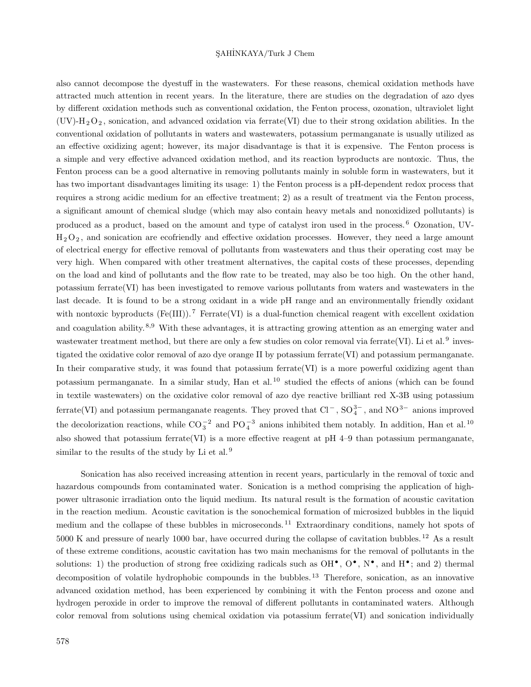also cannot decompose the dyestuff in the wastewaters. For these reasons, chemical oxidation methods have attracted much attention in recent years. In the literature, there are studies on the degradation of azo dyes by different oxidation methods such as conventional oxidation, the Fenton process, ozonation, ultraviolet light  $(UV)$ -H<sub>2</sub>O<sub>2</sub>, sonication, and advanced oxidation via ferrate(VI) due to their strong oxidation abilities. In the conventional oxidation of pollutants in waters and wastewaters, potassium permanganate is usually utilized as an effective oxidizing agent; however, its major disadvantage is that it is expensive. The Fenton process is a simple and very effective advanced oxidation method, and its reaction byproducts are nontoxic. Thus, the Fenton process can be a good alternative in removing pollutants mainly in soluble form in wastewaters, but it has two important disadvantages limiting its usage: 1) the Fenton process is a pH-dependent redox process that requires a strong acidic medium for an effective treatment; 2) as a result of treatment via the Fenton process, a significant amount of chemical sludge (which may also contain heavy metals and nonoxidized pollutants) is produced as a product, based on the amount and type of catalyst iron used in the process. <sup>6</sup> Ozonation, UV- $H_2O_2$ , and sonication are ecofriendly and effective oxidation processes. However, they need a large amount of electrical energy for effective removal of pollutants from wastewaters and thus their operating cost may be very high. When compared with other treatment alternatives, the capital costs of these processes, depending on the load and kind of pollutants and the flow rate to be treated, may also be too high. On the other hand, potassium ferrate(VI) has been investigated to remove various pollutants from waters and wastewaters in the last decade. It is found to be a strong oxidant in a wide pH range and an environmentally friendly oxidant with nontoxic byproducts (Fe(III)).<sup>7</sup> Ferrate(VI) is a dual-function chemical reagent with excellent oxidation and coagulation ability. <sup>8</sup>*,*<sup>9</sup> With these advantages, it is attracting growing attention as an emerging water and wastewater treatment method, but there are only a few studies on color removal via ferrate(VI). Li et al.  $9$  investigated the oxidative color removal of azo dye orange II by potassium ferrate(VI) and potassium permanganate. In their comparative study, it was found that potassium ferrate  $(VI)$  is a more powerful oxidizing agent than potassium permanganate. In a similar study, Han et al.<sup>10</sup> studied the effects of anions (which can be found in textile wastewaters) on the oxidative color removal of azo dye reactive brilliant red X-3B using potassium ferrate(VI) and potassium permanganate reagents. They proved that Cl<sup>-</sup>, SO<sub>4</sub><sup>3-</sup>, and NO<sup>3−</sup> anions improved the decolorization reactions, while  $CO_3^{-2}$  and  $PO_4^{-3}$  anions inhibited them notably. In addition, Han et al.<sup>10</sup> also showed that potassium ferrate(VI) is a more effective reagent at pH 4–9 than potassium permanganate, similar to the results of the study by Li et al.  $9$ 

Sonication has also received increasing attention in recent years, particularly in the removal of toxic and hazardous compounds from contaminated water. Sonication is a method comprising the application of highpower ultrasonic irradiation onto the liquid medium. Its natural result is the formation of acoustic cavitation in the reaction medium. Acoustic cavitation is the sonochemical formation of microsized bubbles in the liquid medium and the collapse of these bubbles in microseconds.<sup>11</sup> Extraordinary conditions, namely hot spots of 5000 K and pressure of nearly 1000 bar, have occurred during the collapse of cavitation bubbles.<sup>12</sup> As a result of these extreme conditions, acoustic cavitation has two main mechanisms for the removal of pollutants in the solutions: 1) the production of strong free oxidizing radicals such as  $OH^{\bullet}$ ,  $O^{\bullet}$ ,  $N^{\bullet}$ , and  $H^{\bullet}$ ; and 2) thermal decomposition of volatile hydrophobic compounds in the bubbles.<sup>13</sup> Therefore, sonication, as an innovative advanced oxidation method, has been experienced by combining it with the Fenton process and ozone and hydrogen peroxide in order to improve the removal of different pollutants in contaminated waters. Although color removal from solutions using chemical oxidation via potassium ferrate(VI) and sonication individually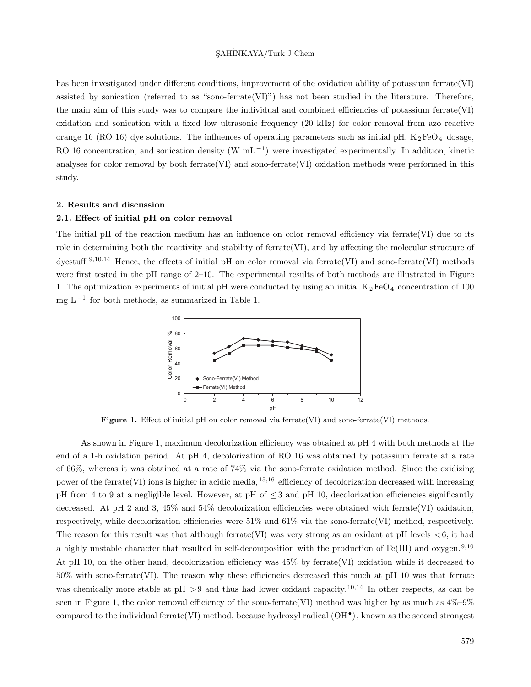has been investigated under different conditions, improvement of the oxidation ability of potassium ferrate(VI) assisted by sonication (referred to as "sono-ferrate(VI)") has not been studied in the literature. Therefore, the main aim of this study was to compare the individual and combined efficiencies of potassium ferrate  $(VI)$ oxidation and sonication with a fixed low ultrasonic frequency (20 kHz) for color removal from azo reactive orange 16 (RO 16) dye solutions. The influences of operating parameters such as initial pH,  $K_2FeO_4$  dosage, RO 16 concentration, and sonication density (W mL<sup>-1</sup>) were investigated experimentally. In addition, kinetic analyses for color removal by both ferrate(VI) and sono-ferrate(VI) oxidation methods were performed in this study.

#### **2. Results and discussion**

## **2.1. Effect of initial pH on color removal**

The initial pH of the reaction medium has an influence on color removal efficiency via ferrate(VI) due to its role in determining both the reactivity and stability of ferrate(VI), and by affecting the molecular structure of dyestuff. <sup>9</sup>*,*10*,*<sup>14</sup> Hence, the effects of initial pH on color removal via ferrate(VI) and sono-ferrate(VI) methods were first tested in the pH range of 2–10. The experimental results of both methods are illustrated in Figure 1. The optimization experiments of initial pH were conducted by using an initial  $K_2FeO_4$  concentration of 100 mg L*−*<sup>1</sup> for both methods, as summarized in Table 1.



Figure 1. Effect of initial pH on color removal via ferrate(VI) and sono-ferrate(VI) methods.

As shown in Figure 1, maximum decolorization efficiency was obtained at pH 4 with both methods at the end of a 1-h oxidation period. At pH 4, decolorization of RO 16 was obtained by potassium ferrate at a rate of 66%, whereas it was obtained at a rate of 74% via the sono-ferrate oxidation method. Since the oxidizing power of the ferrate(VI) ions is higher in acidic media, <sup>15</sup>*,*<sup>16</sup> efficiency of decolorization decreased with increasing pH from 4 to 9 at a negligible level. However, at pH of *≤*3 and pH 10, decolorization efficiencies significantly decreased. At pH 2 and 3, 45% and 54% decolorization efficiencies were obtained with ferrate(VI) oxidation, respectively, while decolorization efficiencies were  $51\%$  and  $61\%$  via the sono-ferrate(VI) method, respectively. The reason for this result was that although ferrate(VI) was very strong as an oxidant at pH levels *<*6, it had a highly unstable character that resulted in self-decomposition with the production of Fe(III) and oxygen. <sup>9</sup>*,*<sup>10</sup> At pH 10, on the other hand, decolorization efficiency was 45% by ferrate(VI) oxidation while it decreased to 50% with sono-ferrate(VI). The reason why these efficiencies decreased this much at pH 10 was that ferrate was chemically more stable at pH *>*9 and thus had lower oxidant capacity. <sup>10</sup>*,*<sup>14</sup> In other respects, as can be seen in Figure 1, the color removal efficiency of the sono-ferrate(VI) method was higher by as much as  $4\%-9\%$ compared to the individual ferrate(VI) method, because hydroxyl radical (OH*•* ), known as the second strongest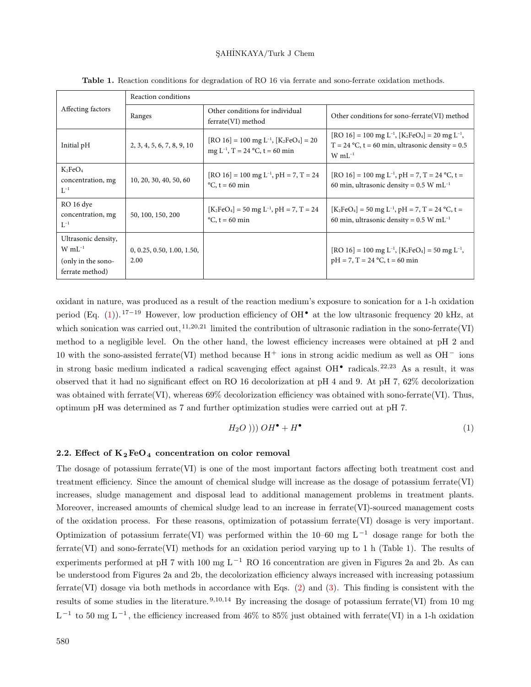|                                                                                      | Reaction conditions                |                                                                                               |                                                                                                                                                                              |  |  |
|--------------------------------------------------------------------------------------|------------------------------------|-----------------------------------------------------------------------------------------------|------------------------------------------------------------------------------------------------------------------------------------------------------------------------------|--|--|
| Affecting factors                                                                    | Ranges                             | Other conditions for individual<br>ferrate(VI) method                                         | Other conditions for sono-ferrate (VI) method                                                                                                                                |  |  |
| Initial pH                                                                           | 2, 3, 4, 5, 6, 7, 8, 9, 10         | $[RO 16] = 100$ mg L <sup>-1</sup> , $[K_2FeO_4] = 20$<br>mg $L^{-1}$ , T = 24 °C, t = 60 min | [RO 16] = 100 mg L <sup>-1</sup> , [K <sub>2</sub> FeO <sub>4</sub> ] = 20 mg L <sup>-1</sup> ,<br>$T = 24$ °C, t = 60 min, ultrasonic density = 0.5<br>$W$ mL <sup>-1</sup> |  |  |
| $K_2FeO_4$<br>concentration, mg<br>$\mathrm{L}^{-1}$                                 | 10, 20, 30, 40, 50, 60             | $[RO 16] = 100$ mg L <sup>-1</sup> , pH = 7, T = 24<br>$\mathrm{^{\circ}C}$ , t = 60 min      | [RO 16] = 100 mg L <sup>-1</sup> , pH = 7, T = 24 °C, t =<br>60 min, ultrasonic density = $0.5$ W mL <sup>-1</sup>                                                           |  |  |
| RO 16 dye<br>concentration, mg<br>$L^{-1}$                                           | 50, 100, 150, 200                  | $[K_2FeO_4] = 50$ mg L <sup>-1</sup> , pH = 7, T = 24<br>$\mathrm{^{\circ}C}$ , t = 60 min    | $[K_2FeO_4] = 50$ mg L <sup>-1</sup> , pH = 7, T = 24 °C, t =<br>60 min, ultrasonic density = $0.5$ W mL <sup>-1</sup>                                                       |  |  |
| Ultrasonic density,<br>$W$ mL <sup>-1</sup><br>(only in the sono-<br>ferrate method) | 0, 0.25, 0.50, 1.00, 1.50,<br>2.00 |                                                                                               | [RO 16] = 100 mg L <sup>-1</sup> , [K <sub>2</sub> FeO <sub>4</sub> ] = 50 mg L <sup>-1</sup> ,<br>$pH = 7, T = 24 °C, t = 60 min$                                           |  |  |

**Table 1.** Reaction conditions for degradation of RO 16 via ferrate and sono-ferrate oxidation methods.

oxidant in nature, was produced as a result of the reaction medium's exposure to sonication for a 1-h oxidation period (Eq. [\(1](#page-3-0))). <sup>17</sup>*−*<sup>19</sup> However, low production efficiency of OH*•* at the low ultrasonic frequency 20 kHz, at which sonication was carried out, <sup>11,20,21</sup> limited the contribution of ultrasonic radiation in the sono-ferrate(VI) method to a negligible level. On the other hand, the lowest efficiency increases were obtained at pH 2 and 10 with the sono-assisted ferrate(VI) method because H <sup>+</sup> ions in strong acidic medium as well as OH *<sup>−</sup>* ions in strong basic medium indicated a radical scavenging effect against OH*•* radicals. <sup>22</sup>*,*<sup>23</sup> As a result, it was observed that it had no significant effect on RO 16 decolorization at pH 4 and 9. At pH 7, 62% decolorization was obtained with ferrate(VI), whereas 69% decolorization efficiency was obtained with sono-ferrate(VI). Thus, optimum pH was determined as 7 and further optimization studies were carried out at pH 7.

<span id="page-3-0"></span>
$$
H_2O\ (1)\ \left(OH^{\bullet} + H^{\bullet}\right) \tag{1}
$$

## **2.2. Effect of K<sup>2</sup> FeO<sup>4</sup> concentration on color removal**

The dosage of potassium ferrate(VI) is one of the most important factors affecting both treatment cost and treatment efficiency. Since the amount of chemical sludge will increase as the dosage of potassium ferrate(VI) increases, sludge management and disposal lead to additional management problems in treatment plants. Moreover, increased amounts of chemical sludge lead to an increase in ferrate(VI)-sourced management costs of the oxidation process. For these reasons, optimization of potassium ferrate(VI) dosage is very important. Optimization of potassium ferrate(VI) was performed within the 10–60 mg L *<sup>−</sup>*<sup>1</sup> dosage range for both the ferrate(VI) and sono-ferrate(VI) methods for an oxidation period varying up to 1 h (Table 1). The results of experiments performed at pH 7 with 100 mg L *<sup>−</sup>*<sup>1</sup> RO 16 concentration are given in Figures 2a and 2b. As can be understood from Figures 2a and 2b, the decolorization efficiency always increased with increasing potassium ferrate(VI) dosage via both methods in accordance with Eqs. [\(2](#page-4-0)) and [\(3](#page-4-1)). This finding is consistent with the results of some studies in the literature. <sup>9</sup>*,*10*,*<sup>14</sup> By increasing the dosage of potassium ferrate(VI) from 10 mg L<sup>-1</sup> to 50 mg L<sup>-1</sup>, the efficiency increased from 46% to 85% just obtained with ferrate(VI) in a 1-h oxidation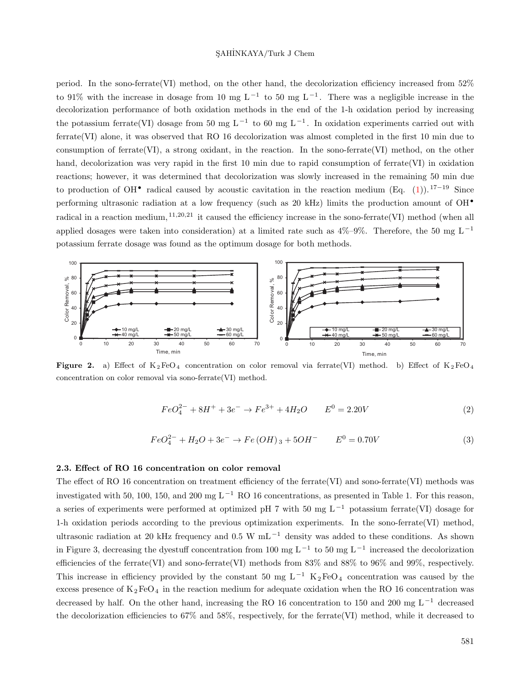period. In the sono-ferrate(VI) method, on the other hand, the decolorization efficiency increased from 52% to 91% with the increase in dosage from 10 mg L *<sup>−</sup>*<sup>1</sup> to 50 mg L*−*<sup>1</sup> . There was a negligible increase in the decolorization performance of both oxidation methods in the end of the 1-h oxidation period by increasing the potassium ferrate(VI) dosage from 50 mg L *<sup>−</sup>*<sup>1</sup> to 60 mg L*−*<sup>1</sup> . In oxidation experiments carried out with ferrate(VI) alone, it was observed that RO 16 decolorization was almost completed in the first 10 min due to consumption of ferrate(VI), a strong oxidant, in the reaction. In the sono-ferrate(VI) method, on the other hand, decolorization was very rapid in the first 10 min due to rapid consumption of ferrate(VI) in oxidation reactions; however, it was determined that decolorization was slowly increased in the remaining 50 min due to production of OH*•* radical caused by acoustic cavitation in the reaction medium (Eq. [\(1](#page-3-0))). <sup>17</sup>*−*<sup>19</sup> Since performing ultrasonic radiation at a low frequency (such as 20 kHz) limits the production amount of OH*•* radical in a reaction medium, <sup>11,20,21</sup> it caused the efficiency increase in the sono-ferrate(VI) method (when all applied dosages were taken into consideration) at a limited rate such as  $4\%$ –9%. Therefore, the 50 mg L<sup>-1</sup> potassium ferrate dosage was found as the optimum dosage for both methods.



<span id="page-4-0"></span>**Figure 2.** a) Effect of  $K_2FeO_4$  concentration on color removal via ferrate(VI) method. b) Effect of  $K_2FeO_4$ concentration on color removal via sono-ferrate(VI) method.

$$
FeO_4^{2-} + 8H^+ + 3e^- \rightarrow Fe^{3+} + 4H_2O \qquad E^0 = 2.20V \tag{2}
$$

$$
FeO_4^{2-} + H_2O + 3e^- \rightarrow Fe(OH)_3 + 5OH^- \qquad E^0 = 0.70V \tag{3}
$$

#### <span id="page-4-1"></span>**2.3. Effect of RO 16 concentration on color removal**

The effect of RO 16 concentration on treatment efficiency of the ferrate(VI) and sono-ferrate(VI) methods was investigated with 50, 100, 150, and 200 mg L *<sup>−</sup>*<sup>1</sup> RO 16 concentrations, as presented in Table 1. For this reason, a series of experiments were performed at optimized pH 7 with 50 mg L *<sup>−</sup>*<sup>1</sup> potassium ferrate(VI) dosage for 1-h oxidation periods according to the previous optimization experiments. In the sono-ferrate(VI) method, ultrasonic radiation at 20 kHz frequency and 0.5 W mL *<sup>−</sup>*<sup>1</sup> density was added to these conditions. As shown in Figure 3, decreasing the dyestuff concentration from 100 mg L *<sup>−</sup>*<sup>1</sup> to 50 mg L*−*<sup>1</sup> increased the decolorization efficiencies of the ferrate(VI) and sono-ferrate(VI) methods from 83% and 88% to 96% and 99%, respectively. This increase in efficiency provided by the constant 50 mg  $L^{-1}$  K<sub>2</sub>FeO<sub>4</sub> concentration was caused by the excess presence of  $K_2FeO_4$  in the reaction medium for adequate oxidation when the RO 16 concentration was decreased by half. On the other hand, increasing the RO 16 concentration to 150 and 200 mg L *<sup>−</sup>*<sup>1</sup> decreased the decolorization efficiencies to 67% and 58%, respectively, for the ferrate(VI) method, while it decreased to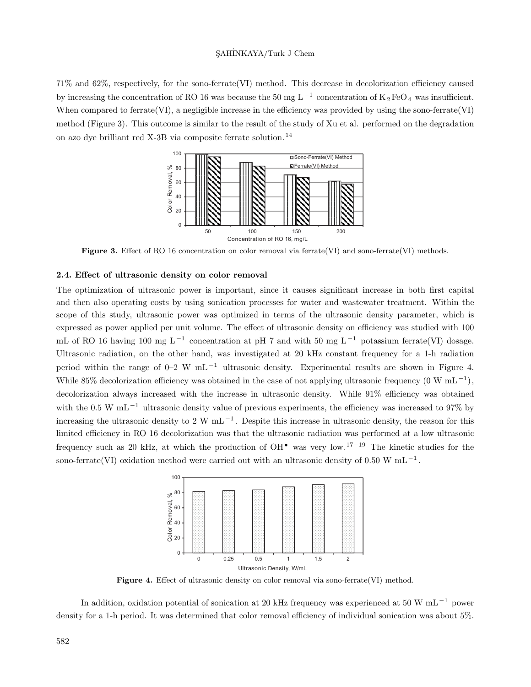71% and 62%, respectively, for the sono-ferrate(VI) method. This decrease in decolorization efficiency caused by increasing the concentration of RO 16 was because the 50 mg L<sup>-1</sup> concentration of K<sub>2</sub>FeO<sub>4</sub> was insufficient. When compared to ferrate(VI), a negligible increase in the efficiency was provided by using the sono-ferrate(VI) method (Figure 3). This outcome is similar to the result of the study of Xu et al. performed on the degradation on azo dye brilliant red X-3B via composite ferrate solution. <sup>14</sup>



Figure 3. Effect of RO 16 concentration on color removal via ferrate(VI) and sono-ferrate(VI) methods.

# **2.4. Effect of ultrasonic density on color removal**

The optimization of ultrasonic power is important, since it causes significant increase in both first capital and then also operating costs by using sonication processes for water and wastewater treatment. Within the scope of this study, ultrasonic power was optimized in terms of the ultrasonic density parameter, which is expressed as power applied per unit volume. The effect of ultrasonic density on efficiency was studied with 100 mL of RO 16 having 100 mg L<sup>-1</sup> concentration at pH 7 and with 50 mg L<sup>-1</sup> potassium ferrate(VI) dosage. Ultrasonic radiation, on the other hand, was investigated at 20 kHz constant frequency for a 1-h radiation period within the range of 0–2 W mL *<sup>−</sup>*<sup>1</sup> ultrasonic density. Experimental results are shown in Figure 4. While 85% decolorization efficiency was obtained in the case of not applying ultrasonic frequency (0 W mL *<sup>−</sup>*<sup>1</sup> ), decolorization always increased with the increase in ultrasonic density. While 91% efficiency was obtained with the 0.5 W mL<sup>-1</sup> ultrasonic density value of previous experiments, the efficiency was increased to 97% by increasing the ultrasonic density to 2 W mL *<sup>−</sup>*<sup>1</sup> . Despite this increase in ultrasonic density, the reason for this limited efficiency in RO 16 decolorization was that the ultrasonic radiation was performed at a low ultrasonic frequency such as 20 kHz, at which the production of OH*•* was very low. <sup>17</sup>*−*<sup>19</sup> The kinetic studies for the sono-ferrate(VI) oxidation method were carried out with an ultrasonic density of 0.50 W mL *<sup>−</sup>*<sup>1</sup> .



Figure 4. Effect of ultrasonic density on color removal via sono-ferrate(VI) method.

In addition, oxidation potential of sonication at 20 kHz frequency was experienced at 50 W mL *<sup>−</sup>*<sup>1</sup> power density for a 1-h period. It was determined that color removal efficiency of individual sonication was about 5%.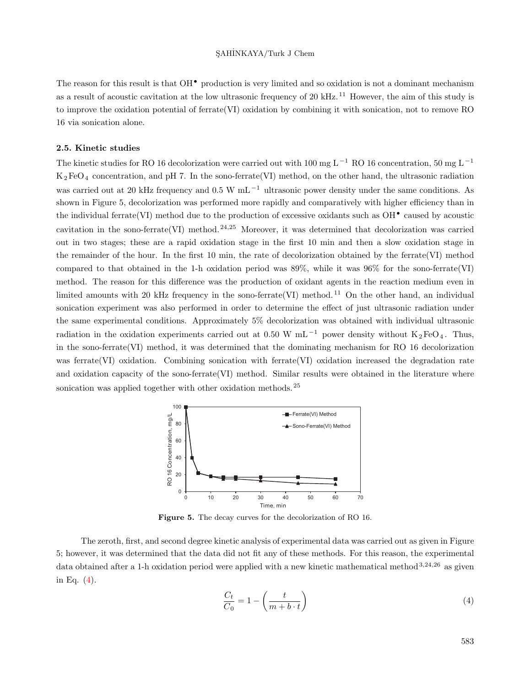The reason for this result is that OH*•* production is very limited and so oxidation is not a dominant mechanism as a result of acoustic cavitation at the low ultrasonic frequency of 20 kHz.<sup>11</sup> However, the aim of this study is to improve the oxidation potential of ferrate(VI) oxidation by combining it with sonication, not to remove RO 16 via sonication alone.

# **2.5. Kinetic studies**

The kinetic studies for RO 16 decolorization were carried out with 100 mg L *<sup>−</sup>*<sup>1</sup> RO 16 concentration, 50 mg L *<sup>−</sup>*<sup>1</sup>  $K_2FeO_4$  concentration, and pH 7. In the sono-ferrate(VI) method, on the other hand, the ultrasonic radiation was carried out at 20 kHz frequency and 0.5 W mL *<sup>−</sup>*<sup>1</sup> ultrasonic power density under the same conditions. As shown in Figure 5, decolorization was performed more rapidly and comparatively with higher efficiency than in the individual ferrate(VI) method due to the production of excessive oxidants such as OH*•* caused by acoustic cavitation in the sono-ferrate(VI) method. <sup>24</sup>*,*<sup>25</sup> Moreover, it was determined that decolorization was carried out in two stages; these are a rapid oxidation stage in the first 10 min and then a slow oxidation stage in the remainder of the hour. In the first 10 min, the rate of decolorization obtained by the ferrate(VI) method compared to that obtained in the 1-h oxidation period was  $89\%$ , while it was  $96\%$  for the sono-ferrate(VI) method. The reason for this difference was the production of oxidant agents in the reaction medium even in limited amounts with 20 kHz frequency in the sono-ferrate(VI) method.<sup>11</sup> On the other hand, an individual sonication experiment was also performed in order to determine the effect of just ultrasonic radiation under the same experimental conditions. Approximately 5% decolorization was obtained with individual ultrasonic radiation in the oxidation experiments carried out at 0.50 W mL<sup>-1</sup> power density without K<sub>2</sub>FeO<sub>4</sub>. Thus, in the sono-ferrate(VI) method, it was determined that the dominating mechanism for RO 16 decolorization was ferrate(VI) oxidation. Combining sonication with ferrate(VI) oxidation increased the degradation rate and oxidation capacity of the sono-ferrate(VI) method. Similar results were obtained in the literature where sonication was applied together with other oxidation methods.  $25$ 



**Figure 5.** The decay curves for the decolorization of RO 16.

<span id="page-6-0"></span>The zeroth, first, and second degree kinetic analysis of experimental data was carried out as given in Figure 5; however, it was determined that the data did not fit any of these methods. For this reason, the experimental data obtained after a 1-h oxidation period were applied with a new kinetic mathematical method <sup>3</sup>*,*24*,*<sup>26</sup> as given in Eq. ([4\)](#page-6-0).

$$
\frac{C_t}{C_0} = 1 - \left(\frac{t}{m + b \cdot t}\right) \tag{4}
$$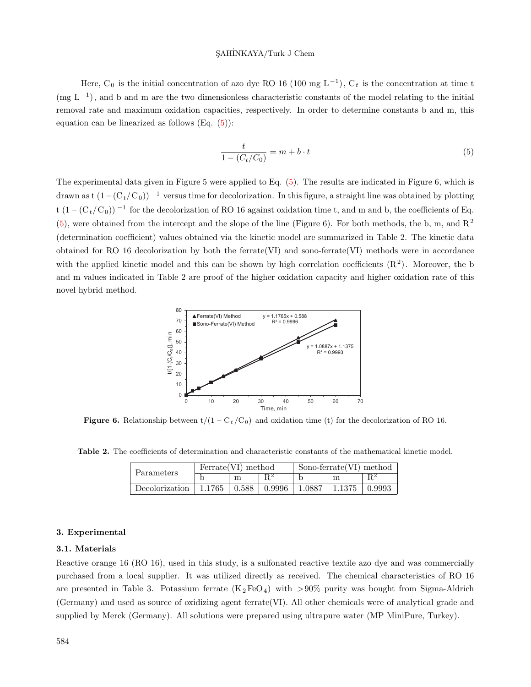Here,  $C_0$  is the initial concentration of azo dye RO 16 (100 mg L<sup>-1</sup>),  $C_t$  is the concentration at time t (mg L*−*<sup>1</sup> ), and b and m are the two dimensionless characteristic constants of the model relating to the initial removal rate and maximum oxidation capacities, respectively. In order to determine constants b and m, this equation can be linearized as follows  $(Eq. (5))$  $(Eq. (5))$  $(Eq. (5))$ :

<span id="page-7-0"></span>
$$
\frac{t}{1 - (C_t/C_0)} = m + b \cdot t \tag{5}
$$

The experimental data given in Figure 5 were applied to Eq. [\(5](#page-7-0)). The results are indicated in Figure 6, which is drawn as t  $(1 - (C_t/C_0))$ <sup>-1</sup> versus time for decolorization. In this figure, a straight line was obtained by plotting t (1 – (C<sub>t</sub>/C<sub>0</sub>))<sup>-1</sup> for the decolorization of RO 16 against oxidation time t, and m and b, the coefficients of Eq.  $(5)$  $(5)$ , were obtained from the intercept and the slope of the line (Figure 6). For both methods, the b, m, and R<sup>2</sup> (determination coefficient) values obtained via the kinetic model are summarized in Table 2. The kinetic data obtained for RO 16 decolorization by both the ferrate  $(VI)$  and sono-ferrate  $(VI)$  methods were in accordance with the applied kinetic model and this can be shown by high correlation coefficients  $(R<sup>2</sup>)$ . Moreover, the b and m values indicated in Table 2 are proof of the higher oxidation capacity and higher oxidation rate of this novel hybrid method.



**Figure 6.** Relationship between  $t/(1 - C_t/C_0)$  and oxidation time (t) for the decolorization of RO 16.

**Table 2.** The coefficients of determination and characteristic constants of the mathematical kinetic model.

| Parameters     | Ferrate (VI) method |       |        | Sono-ferrate $(VI)$ method |        |        |
|----------------|---------------------|-------|--------|----------------------------|--------|--------|
|                |                     | m     |        |                            |        |        |
| Decolorization | 1.1765              | 0.588 | 0.9996 | 1.0887                     | 1.1375 | 0.9993 |

#### **3. Experimental**

# **3.1. Materials**

Reactive orange 16 (RO 16), used in this study, is a sulfonated reactive textile azo dye and was commercially purchased from a local supplier. It was utilized directly as received. The chemical characteristics of RO 16 are presented in Table 3. Potassium ferrate  $(K_2FeO_4)$  with  $>90\%$  purity was bought from Sigma-Aldrich (Germany) and used as source of oxidizing agent ferrate(VI). All other chemicals were of analytical grade and supplied by Merck (Germany). All solutions were prepared using ultrapure water (MP MiniPure, Turkey).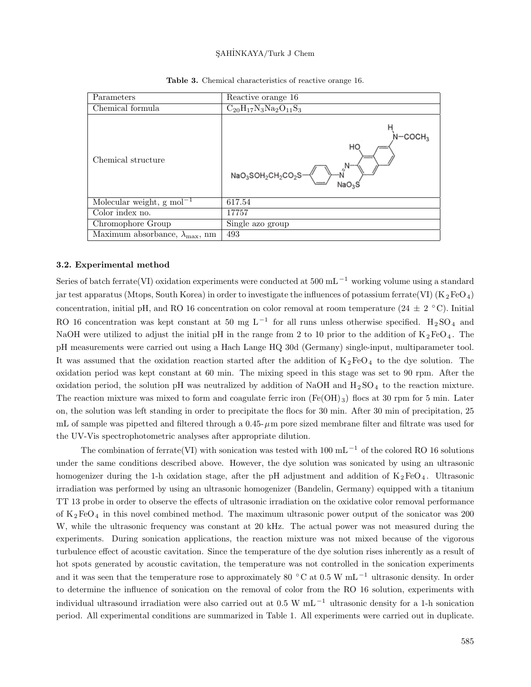| Parameters                                      | Reactive orange 16                                                                           |
|-------------------------------------------------|----------------------------------------------------------------------------------------------|
| Chemical formula                                | $C_{20}H_{17}N_3Na_2O_{11}S_3$                                                               |
| Chemical structure                              | HO<br>$\textsf{NaO}_3\textsf{SOH}_2\textsf{CH}_2\textsf{CO}_2\textsf{S}$<br>NaO <sub>3</sub> |
| Molecular weight, $g \text{ mol}^{-1}$          | 617.54                                                                                       |
| Color index no.                                 | 17757                                                                                        |
| Chromophore Group                               | Single azo group                                                                             |
| Maximum absorbance, $\lambda_{\text{max}}$ , nm | 493                                                                                          |

**Table 3.** Chemical characteristics of reactive orange 16.

#### **3.2. Experimental method**

Series of batch ferrate(VI) oxidation experiments were conducted at 500 mL *<sup>−</sup>*<sup>1</sup> working volume using a standard jar test apparatus (Mtops, South Korea) in order to investigate the influences of potassium ferrate(VI) (K<sub>2</sub>FeO<sub>4</sub>) concentration, initial pH, and RO 16 concentration on color removal at room temperature (24 *±* 2 *◦* C). Initial RO 16 concentration was kept constant at 50 mg L<sup>-1</sup> for all runs unless otherwise specified. H<sub>2</sub>SO<sub>4</sub> and NaOH were utilized to adjust the initial pH in the range from 2 to 10 prior to the addition of  $K_2FeO_4$ . The pH measurements were carried out using a Hach Lange HQ 30d (Germany) single-input, multiparameter tool. It was assumed that the oxidation reaction started after the addition of  $K_2FeO_4$  to the dye solution. The oxidation period was kept constant at 60 min. The mixing speed in this stage was set to 90 rpm. After the oxidation period, the solution pH was neutralized by addition of NaOH and  $H_2SO_4$  to the reaction mixture. The reaction mixture was mixed to form and coagulate ferric iron  $(Fe(OH)_{3})$  flocs at 30 rpm for 5 min. Later on, the solution was left standing in order to precipitate the flocs for 30 min. After 30 min of precipitation, 25 mL of sample was pipetted and filtered through a  $0.45-\mu$ m pore sized membrane filter and filtrate was used for the UV-Vis spectrophotometric analyses after appropriate dilution.

The combination of ferrate(VI) with sonication was tested with 100 mL *<sup>−</sup>*<sup>1</sup> of the colored RO 16 solutions under the same conditions described above. However, the dye solution was sonicated by using an ultrasonic homogenizer during the 1-h oxidation stage, after the pH adjustment and addition of  $K_2FeO_4$ . Ultrasonic irradiation was performed by using an ultrasonic homogenizer (Bandelin, Germany) equipped with a titanium TT 13 probe in order to observe the effects of ultrasonic irradiation on the oxidative color removal performance of  $K_2FeO_4$  in this novel combined method. The maximum ultrasonic power output of the sonicator was 200 W, while the ultrasonic frequency was constant at 20 kHz. The actual power was not measured during the experiments. During sonication applications, the reaction mixture was not mixed because of the vigorous turbulence effect of acoustic cavitation. Since the temperature of the dye solution rises inherently as a result of hot spots generated by acoustic cavitation, the temperature was not controlled in the sonication experiments and it was seen that the temperature rose to approximately 80 *◦* C at 0.5 W mL*−*<sup>1</sup> ultrasonic density. In order to determine the influence of sonication on the removal of color from the RO 16 solution, experiments with individual ultrasound irradiation were also carried out at 0.5 W mL *<sup>−</sup>*<sup>1</sup> ultrasonic density for a 1-h sonication period. All experimental conditions are summarized in Table 1. All experiments were carried out in duplicate.